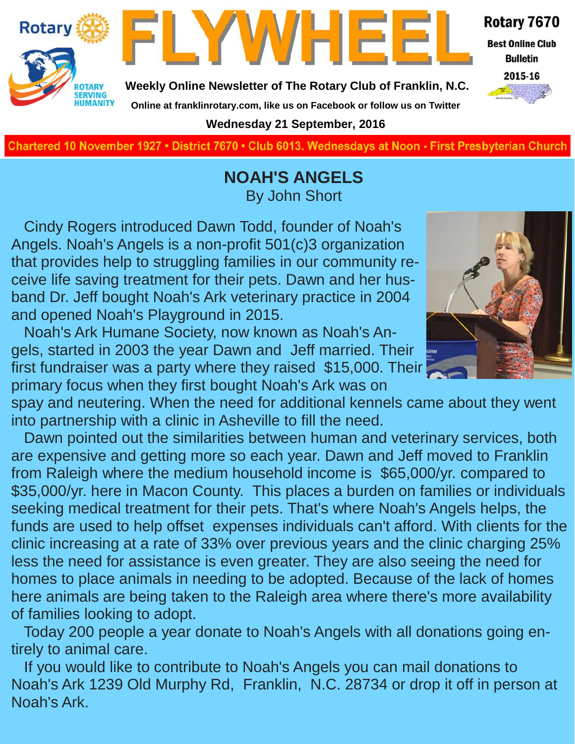



**Weekly Online Newsletter of The Rotary Club of Franklin, N.C.**

#### Rotary 7670

**Best Online Club Bulletin** 



**Online at franklinrotary.com, like us on Facebook or follow us on Twitter Wednesday 21 September, 2016**

**Charted November 29, 1927 • District 7670 • Club 6013 Wednesdays at Noon - First Presbyterian Church**

### **NOAH'S ANGELS** By John Short

 Cindy Rogers introduced Dawn Todd, founder of Noah's Angels. Noah's Angels is a non-profit 501(c)3 organization that provides help to struggling families in our community receive life saving treatment for their pets. Dawn and her husband Dr. Jeff bought Noah's Ark veterinary practice in 2004 and opened Noah's Playground in 2015.

 Noah's Ark Humane Society, now known as Noah's Angels, started in 2003 the year Dawn and Jeff married. Their first fundraiser was a party where they raised \$15,000. Their primary focus when they first bought Noah's Ark was on

spay and neutering. When the need for additional kennels came about they went into partnership with a clinic in Asheville to fill the need.

 Dawn pointed out the similarities between human and veterinary services, both are expensive and getting more so each year. Dawn and Jeff moved to Franklin from Raleigh where the medium household income is \$65,000/yr. compared to \$35,000/yr. here in Macon County. This places a burden on families or individuals seeking medical treatment for their pets. That's where Noah's Angels helps, the funds are used to help offset expenses individuals can't afford. With clients for the clinic increasing at a rate of 33% over previous years and the clinic charging 25% less the need for assistance is even greater. They are also seeing the need for homes to place animals in needing to be adopted. Because of the lack of homes here animals are being taken to the Raleigh area where there's more availability of families looking to adopt.

 Today 200 people a year donate to Noah's Angels with all donations going entirely to animal care.

 If you would like to contribute to Noah's Angels you can mail donations to Noah's Ark 1239 Old Murphy Rd, Franklin, N.C. 28734 or drop it off in person at Noah's Ark.

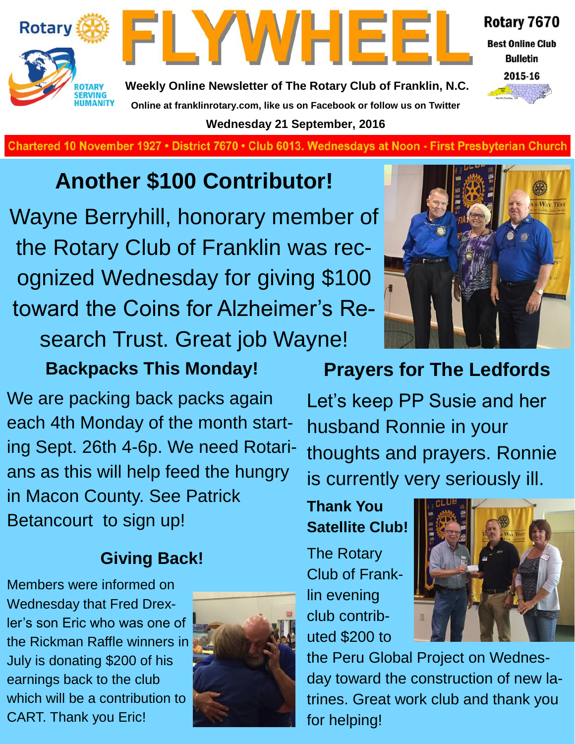



**Weekly Online Newsletter of The Rotary Club of Franklin, N.C. Online at franklinrotary.com, like us on Facebook or follow us on Twitter Wednesday 21 September, 2016**

Rotary 7670 **Best Online Club** 

**Bulletin** 



**Charted November 29, 1927 • District 7670 • Club 6013 Wednesdays at Noon - First Presbyterian Church**

### **Another \$100 Contributor!**

Wayne Berryhill, honorary member of the Rotary Club of Franklin was recognized Wednesday for giving \$100 toward the Coins for Alzheimer's Research Trust. Great job Wayne!

### **Backpacks This Monday!**

We are packing back packs again each 4th Monday of the month starting Sept. 26th 4-6p. We need Rotarians as this will help feed the hungry in Macon County. See Patrick Betancourt to sign up!

### **Giving Back!**

Members were informed on Wednesday that Fred Drexler's son Eric who was one of the Rickman Raffle winners in July is donating \$200 of his earnings back to the club which will be a contribution to CART. Thank you Eric!





### **Prayers for The Ledfords**

Let's keep PP Susie and her husband Ronnie in your thoughts and prayers. Ronnie is currently very seriously ill.

### **Thank You Satellite Club!**

The Rotary Club of Franklin evening club contributed \$200 to



the Peru Global Project on Wednesday toward the construction of new latrines. Great work club and thank you for helping!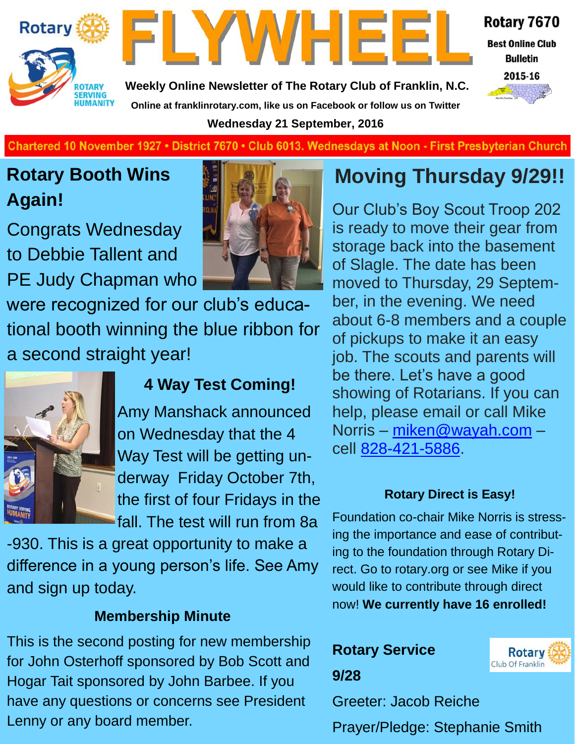



Rotary 7670

**Best Online Club Bulletin** 

2015-16

**Weekly Online Newsletter of The Rotary Club of Franklin, N.C. Online at franklinrotary.com, like us on Facebook or follow us on Twitter Wednesday 21 September, 2016**

Chartered 10 November 1927 • District 7670 • Club 6013. Wednesdays at Noon - First Presbyterian Church

### **Rotary Booth Wins Again!**

Congrats Wednesday to Debbie Tallent and PE Judy Chapman who

were recognized for our club's educational booth winning the blue ribbon for a second straight year!



### **4 Way Test Coming!**

Amy Manshack announced on Wednesday that the 4 Way Test will be getting underway Friday October 7th, the first of four Fridays in the fall. The test will run from 8a

-930. This is a great opportunity to make a difference in a young person's life. See Amy and sign up today.

### **Membership Minute**

This is the second posting for new membership for John Osterhoff sponsored by Bob Scott and Hogar Tait sponsored by John Barbee. If you have any questions or concerns see President Lenny or any board member.

### **Moving Thursday 9/29!!**

Our Club's Boy Scout Troop 202 is ready to move their gear from storage back into the basement of Slagle. The date has been moved to Thursday, 29 September, in the evening. We need about 6-8 members and a couple of pickups to make it an easy job. The scouts and parents will be there. Let's have a good showing of Rotarians. If you can help, please email or call Mike Norris – [miken@wayah.com](mailto:miken@wayah.com) – cell [828-421-5886.](tel:828-421-5886)

#### **Rotary Direct is Easy!**

Foundation co-chair Mike Norris is stressing the importance and ease of contributing to the foundation through Rotary Direct. Go to rotary.org or see Mike if you would like to contribute through direct now! **We currently have 16 enrolled!**

### **Rotary Service**



**9/28**

Greeter: Jacob Reiche

Prayer/Pledge: Stephanie Smith

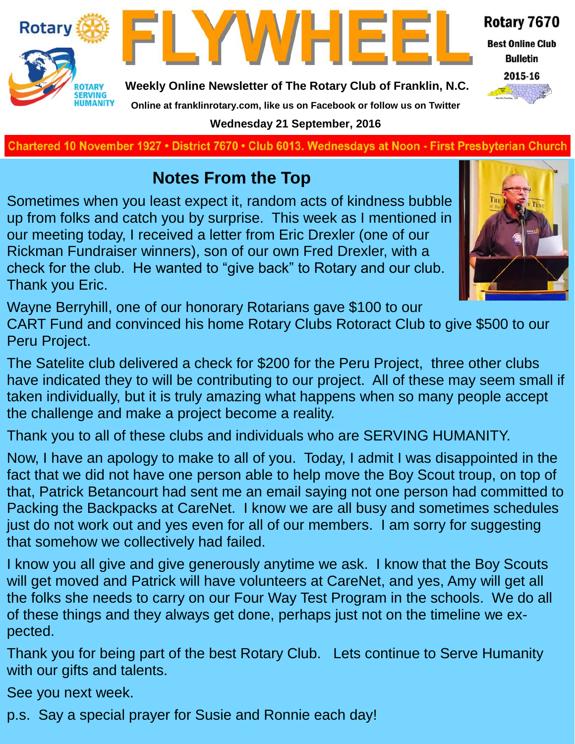



**Weekly Online Newsletter of The Rotary Club of Franklin, N.C.**

**Online at franklinrotary.com, like us on Facebook or follow us on Twitter**

### Rotary 7670

**Best Online Club Bulletin** 



**Charted November 29, 1927 • District 7670 • Club 6013 Wednesdays at Noon - First Presbyterian Church Wednesday 21 September, 2016**

### **Notes From the Top**

Sometimes when you least expect it, random acts of kindness bubble up from folks and catch you by surprise. This week as I mentioned in our meeting today, I received a letter from Eric Drexler (one of our Rickman Fundraiser winners), son of our own Fred Drexler, with a check for the club. He wanted to "give back" to Rotary and our club. Thank you Eric.



Wayne Berryhill, one of our honorary Rotarians gave \$100 to our

CART Fund and convinced his home Rotary Clubs Rotoract Club to give \$500 to our Peru Project.

The Satelite club delivered a check for \$200 for the Peru Project, three other clubs have indicated they to will be contributing to our project. All of these may seem small if taken individually, but it is truly amazing what happens when so many people accept the challenge and make a project become a reality.

Thank you to all of these clubs and individuals who are SERVING HUMANITY.

Now, I have an apology to make to all of you. Today, I admit I was disappointed in the fact that we did not have one person able to help move the Boy Scout troup, on top of that, Patrick Betancourt had sent me an email saying not one person had committed to Packing the Backpacks at CareNet. I know we are all busy and sometimes schedules just do not work out and yes even for all of our members. I am sorry for suggesting that somehow we collectively had failed.

I know you all give and give generously anytime we ask. I know that the Boy Scouts will get moved and Patrick will have volunteers at CareNet, and yes, Amy will get all the folks she needs to carry on our Four Way Test Program in the schools. We do all of these things and they always get done, perhaps just not on the timeline we expected.

Thank you for being part of the best Rotary Club. Lets continue to Serve Humanity with our gifts and talents.

See you next week.

p.s. Say a special prayer for Susie and Ronnie each day!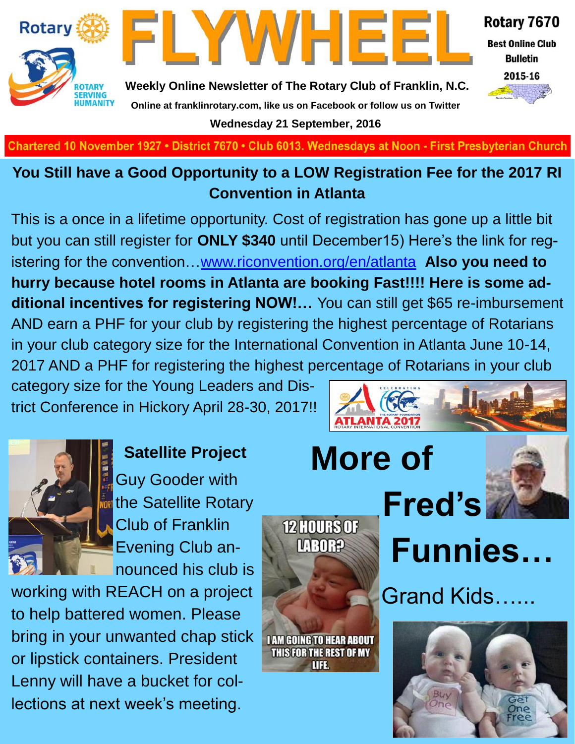



Rotary 7670

**Best Online Club Bulletin** 



**Weekly Online Newsletter of The Rotary Club of Franklin, N.C. Online at franklinrotary.com, like us on Facebook or follow us on Twitter Wednesday 21 September, 2016**

**Charted November 29, 1927 • District 7670 • Club 6013 Wednesdays at Noon - First Presbyterian Church**

### **You Still have a Good Opportunity to a LOW Registration Fee for the 2017 RI Convention in Atlanta**

This is a once in a lifetime opportunity. Cost of registration has gone up a little bit but you can still register for **ONLY \$340** until December15) Here's the link for registering for the convention…[www.riconvention.org/en/atlanta](http://www.riconvention.org/en/atlanta) **Also you need to hurry because hotel rooms in Atlanta are booking Fast!!!! Here is some additional incentives for registering NOW!…** You can still get \$65 re-imbursement AND earn a PHF for your club by registering the highest percentage of Rotarians in your club category size for the International Convention in Atlanta June 10-14, 2017 AND a PHF for registering the highest percentage of Rotarians in your club

category size for the Young Leaders and District Conference in Hickory April 28-30, 2017!!



**Satellite Project** Guy Gooder with the Satellite Rotary Club of Franklin Evening Club announced his club is

working with REACH on a project to help battered women. Please bring in your unwanted chap stick or lipstick containers. President Lenny will have a bucket for collections at next week's meeting.





**12 HOURS OF** 

**LABORP** 

**I AM GOING TO HEAR ABOUT** THIS FOR THE REST OF MY UFE.





Grand Kids…...